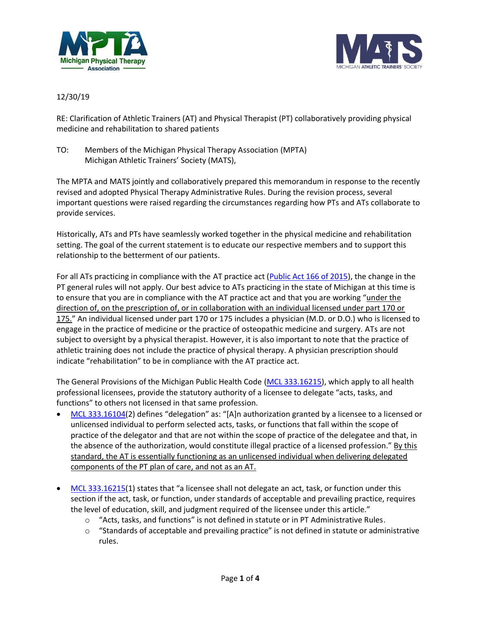



## 12/30/19

RE: Clarification of Athletic Trainers (AT) and Physical Therapist (PT) collaboratively providing physical medicine and rehabilitation to shared patients

TO: Members of the Michigan Physical Therapy Association (MPTA) Michigan Athletic Trainers' Society (MATS),

The MPTA and MATS jointly and collaboratively prepared this memorandum in response to the recently revised and adopted Physical Therapy Administrative Rules. During the revision process, several important questions were raised regarding the circumstances regarding how PTs and ATs collaborate to provide services.

Historically, ATs and PTs have seamlessly worked together in the physical medicine and rehabilitation setting. The goal of the current statement is to educate our respective members and to support this relationship to the betterment of our patients.

For all ATs practicing in compliance with the AT practice act [\(Public Act 166 of 2015\)](http://legislature.mi.gov/doc.aspx?mcl-368-1978-15-179.), the change in the PT general rules will not apply. Our best advice to ATs practicing in the state of Michigan at this time is to ensure that you are in compliance with the AT practice act and that you are working "under the direction of, on the prescription of, or in collaboration with an individual licensed under part 170 or 175." An individual licensed under part 170 or 175 includes a physician (M.D. or D.O.) who is licensed to engage in the practice of medicine or the practice of osteopathic medicine and surgery. ATs are not subject to oversight by a physical therapist. However, it is also important to note that the practice of athletic training does not include the practice of physical therapy. A physician prescription should indicate "rehabilitation" to be in compliance with the AT practice act.

The General Provisions of the Michigan Public Health Code [\(MCL 333.16215\)](http://legislature.mi.gov/doc.aspx?mcl-333-16215), which apply to all health professional licensees, provide the statutory authority of a licensee to delegate "acts, tasks, and functions" to others not licensed in that same profession.

- [MCL 333.16104](http://www.legislature.mi.gov/(S(tysmpog02hrmb5hclveut55k))/mileg.aspx?page=GetObject&objectname=mcl-333-16104)(2) defines "delegation" as: "[A]n authorization granted by a licensee to a licensed or unlicensed individual to perform selected acts, tasks, or functions that fall within the scope of practice of the delegator and that are not within the scope of practice of the delegatee and that, in the absence of the authorization, would constitute illegal practice of a licensed profession." By this standard, the AT is essentially functioning as an unlicensed individual when delivering delegated components of the PT plan of care, and not as an AT.
- [MCL 333.16215\(](http://legislature.mi.gov/doc.aspx?mcl-333-16215)1) states that "a licensee shall not delegate an act, task, or function under this section if the act, task, or function, under standards of acceptable and prevailing practice, requires the level of education, skill, and judgment required of the licensee under this article."
	- $\circ$  "Acts, tasks, and functions" is not defined in statute or in PT Administrative Rules.
	- o "Standards of acceptable and prevailing practice" is not defined in statute or administrative rules.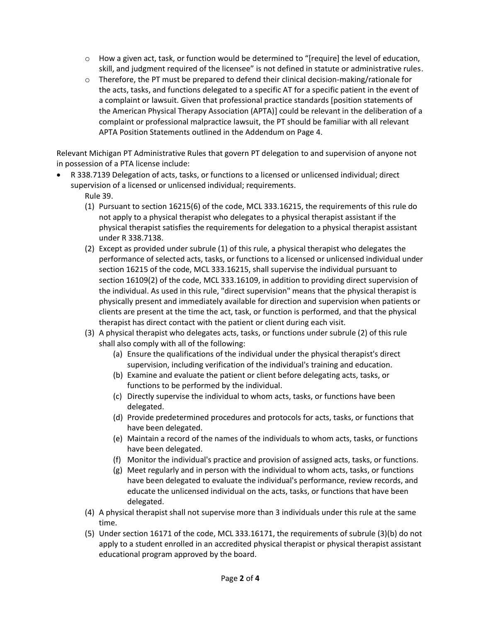- $\circ$  How a given act, task, or function would be determined to "[require] the level of education, skill, and judgment required of the licensee" is not defined in statute or administrative rules.
- $\circ$  Therefore, the PT must be prepared to defend their clinical decision-making/rationale for the acts, tasks, and functions delegated to a specific AT for a specific patient in the event of a complaint or lawsuit. Given that professional practice standards [position statements of the American Physical Therapy Association (APTA)] could be relevant in the deliberation of a complaint or professional malpractice lawsuit, the PT should be familiar with all relevant APTA Position Statements outlined in the Addendum on Page 4.

Relevant Michigan PT Administrative Rules that govern PT delegation to and supervision of anyone not in possession of a PTA license include:

- R 338.7139 Delegation of acts, tasks, or functions to a licensed or unlicensed individual; direct supervision of a licensed or unlicensed individual; requirements. Rule 39.
	- (1) Pursuant to section 16215(6) of the code, MCL 333.16215, the requirements of this rule do not apply to a physical therapist who delegates to a physical therapist assistant if the physical therapist satisfies the requirements for delegation to a physical therapist assistant under R 338.7138.
	- (2) Except as provided under subrule (1) of this rule, a physical therapist who delegates the performance of selected acts, tasks, or functions to a licensed or unlicensed individual under section 16215 of the code, MCL 333.16215, shall supervise the individual pursuant to section 16109(2) of the code, MCL 333.16109, in addition to providing direct supervision of the individual. As used in this rule, "direct supervision" means that the physical therapist is physically present and immediately available for direction and supervision when patients or clients are present at the time the act, task, or function is performed, and that the physical therapist has direct contact with the patient or client during each visit.
	- (3) A physical therapist who delegates acts, tasks, or functions under subrule (2) of this rule shall also comply with all of the following:
		- (a) Ensure the qualifications of the individual under the physical therapist's direct supervision, including verification of the individual's training and education.
		- (b) Examine and evaluate the patient or client before delegating acts, tasks, or functions to be performed by the individual.
		- (c) Directly supervise the individual to whom acts, tasks, or functions have been delegated.
		- (d) Provide predetermined procedures and protocols for acts, tasks, or functions that have been delegated.
		- (e) Maintain a record of the names of the individuals to whom acts, tasks, or functions have been delegated.
		- (f) Monitor the individual's practice and provision of assigned acts, tasks, or functions.
		- (g) Meet regularly and in person with the individual to whom acts, tasks, or functions have been delegated to evaluate the individual's performance, review records, and educate the unlicensed individual on the acts, tasks, or functions that have been delegated.
	- (4) A physical therapist shall not supervise more than 3 individuals under this rule at the same time.
	- (5) Under section 16171 of the code, MCL 333.16171, the requirements of subrule (3)(b) do not apply to a student enrolled in an accredited physical therapist or physical therapist assistant educational program approved by the board.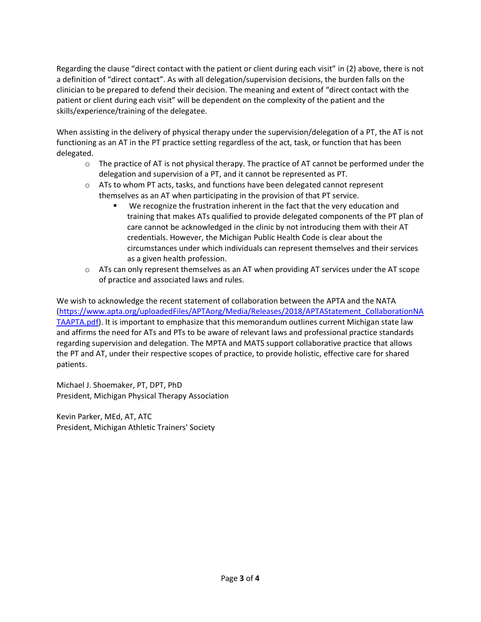Regarding the clause "direct contact with the patient or client during each visit" in (2) above, there is not a definition of "direct contact". As with all delegation/supervision decisions, the burden falls on the clinician to be prepared to defend their decision. The meaning and extent of "direct contact with the patient or client during each visit" will be dependent on the complexity of the patient and the skills/experience/training of the delegatee.

When assisting in the delivery of physical therapy under the supervision/delegation of a PT, the AT is not functioning as an AT in the PT practice setting regardless of the act, task, or function that has been delegated.

- $\circ$  The practice of AT is not physical therapy. The practice of AT cannot be performed under the delegation and supervision of a PT, and it cannot be represented as PT.
- $\circ$  ATs to whom PT acts, tasks, and functions have been delegated cannot represent themselves as an AT when participating in the provision of that PT service.
	- We recognize the frustration inherent in the fact that the very education and training that makes ATs qualified to provide delegated components of the PT plan of care cannot be acknowledged in the clinic by not introducing them with their AT credentials. However, the Michigan Public Health Code is clear about the circumstances under which individuals can represent themselves and their services as a given health profession.
- $\circ$  ATs can only represent themselves as an AT when providing AT services under the AT scope of practice and associated laws and rules.

We wish to acknowledge the recent statement of collaboration between the APTA and the NATA [\(https://www.apta.org/uploadedFiles/APTAorg/Media/Releases/2018/APTAStatement\\_CollaborationNA](https://www.apta.org/uploadedFiles/APTAorg/Media/Releases/2018/APTAStatement_CollaborationNATAAPTA.pdf) [TAAPTA.pdf\)](https://www.apta.org/uploadedFiles/APTAorg/Media/Releases/2018/APTAStatement_CollaborationNATAAPTA.pdf). It is important to emphasize that this memorandum outlines current Michigan state law and affirms the need for ATs and PTs to be aware of relevant laws and professional practice standards regarding supervision and delegation. The MPTA and MATS support collaborative practice that allows the PT and AT, under their respective scopes of practice, to provide holistic, effective care for shared patients.

Michael J. Shoemaker, PT, DPT, PhD President, Michigan Physical Therapy Association

Kevin Parker, MEd, AT, ATC President, Michigan Athletic Trainers' Society